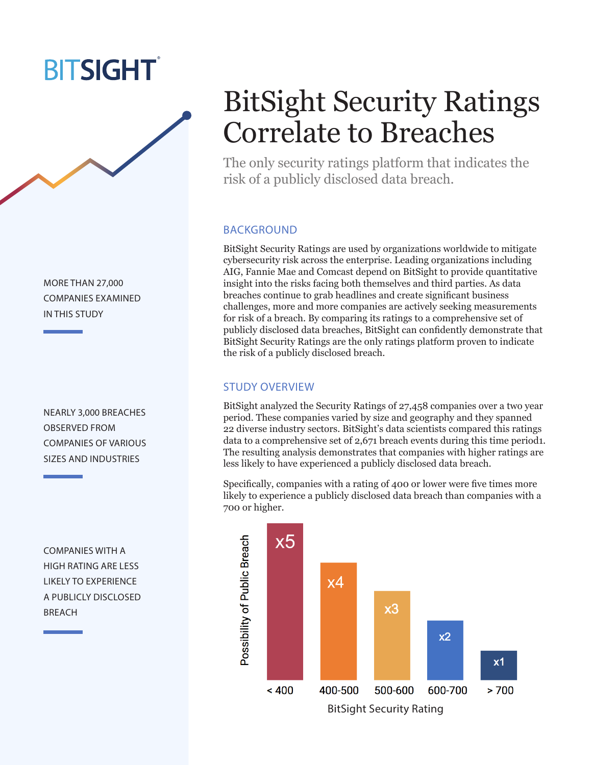## **BITSIGHT**

MORE THAN 27,000 COMPANIES EXAMINED IN THIS STUDY

NEARLY 3,000 BREACHES OBSERVED FROM COMPANIES OF VARIOUS SIZES AND INDUSTRIES

COMPANIES WITH A HIGH RATING ARE LESS LIKELY TO EXPERIENCE A PUBLICLY DISCLOSED BREACH

# BitSight Security Ratings Correlate to Breaches

The only security ratings platform that indicates the risk of a publicly disclosed data breach.

### BACKGROUND

BitSight Security Ratings are used by organizations worldwide to mitigate cybersecurity risk across the enterprise. Leading organizations including AIG, Fannie Mae and Comcast depend on BitSight to provide quantitative insight into the risks facing both themselves and third parties. As data breaches continue to grab headlines and create significant business challenges, more and more companies are actively seeking measurements for risk of a breach. By comparing its ratings to a comprehensive set of publicly disclosed data breaches, BitSight can confidently demonstrate that BitSight Security Ratings are the only ratings platform proven to indicate the risk of a publicly disclosed breach.

### STUDY OVERVIEW

BitSight analyzed the Security Ratings of 27,458 companies over a two year period. These companies varied by size and geography and they spanned 22 diverse industry sectors. BitSight's data scientists compared this ratings data to a comprehensive set of 2,671 breach events during this time period1. The resulting analysis demonstrates that companies with higher ratings are less likely to have experienced a publicly disclosed data breach.

Specifically, companies with a rating of 400 or lower were five times more likely to experience a publicly disclosed data breach than companies with a 700 or higher.